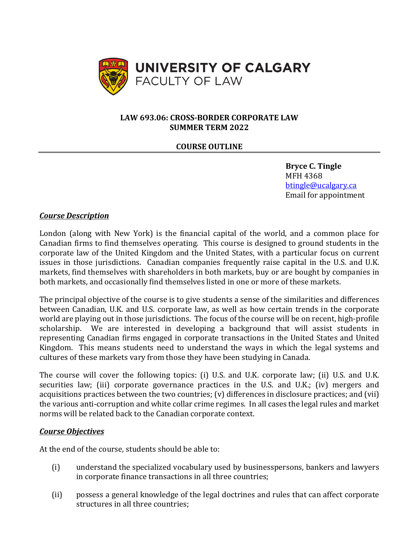

#### **LAW 693.06: CROSS-BORDER CORPORATE LAW SUMMER TERM 2022**

### **COURSE OUTLINE**

**Bryce C. Tingle** MFH 4368 [btingle@ucalgary.ca](mailto:btingle@ucalgary.ca) Email for appointment

#### *Course Description*

London (along with New York) is the financial capital of the world, and a common place for Canadian firms to find themselves operating. This course is designed to ground students in the corporate law of the United Kingdom and the United States, with a particular focus on current issues in those jurisdictions. Canadian companies frequently raise capital in the U.S. and U.K. markets, find themselves with shareholders in both markets, buy or are bought by companies in both markets, and occasionally find themselves listed in one or more of these markets.

The principal objective of the course is to give students a sense of the similarities and differences between Canadian, U.K. and U.S. corporate law, as well as how certain trends in the corporate world are playing out in those jurisdictions. The focus of the course will be on recent, high-profile scholarship. We are interested in developing a background that will assist students in representing Canadian firms engaged in corporate transactions in the United States and United Kingdom. This means students need to understand the ways in which the legal systems and cultures of these markets vary from those they have been studying in Canada.

The course will cover the following topics: (i) U.S. and U.K. corporate law; (ii) U.S. and U.K. securities law; (iii) corporate governance practices in the U.S. and U.K.; (iv) mergers and acquisitions practices between the two countries; (v) differences in disclosure practices; and (vii) the various anti-corruption and white collar crime regimes. In all cases the legal rules and market norms will be related back to the Canadian corporate context.

#### *Course Objectives*

At the end of the course, students should be able to:

- (i) understand the specialized vocabulary used by businesspersons, bankers and lawyers in corporate finance transactions in all three countries;
- (ii) possess a general knowledge of the legal doctrines and rules that can affect corporate structures in all three countries;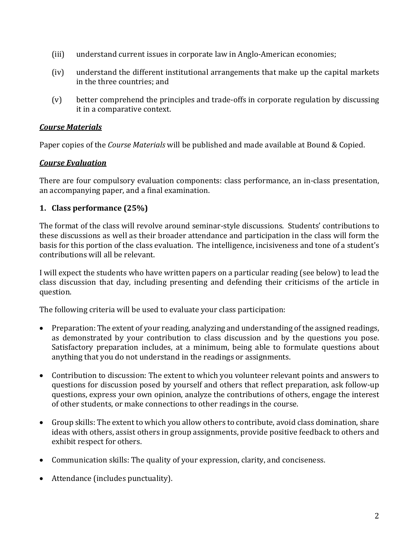- (iii) understand current issues in corporate law in Anglo-American economies;
- (iv) understand the different institutional arrangements that make up the capital markets in the three countries; and
- (v) better comprehend the principles and trade-offs in corporate regulation by discussing it in a comparative context.

### *Course Materials*

Paper copies of the *Course Materials* will be published and made available at Bound & Copied.

## *Course Evaluation*

There are four compulsory evaluation components: class performance, an in-class presentation, an accompanying paper, and a final examination.

## **1. Class performance (25%)**

The format of the class will revolve around seminar-style discussions. Students' contributions to these discussions as well as their broader attendance and participation in the class will form the basis for this portion of the class evaluation. The intelligence, incisiveness and tone of a student's contributions will all be relevant.

I will expect the students who have written papers on a particular reading (see below) to lead the class discussion that day, including presenting and defending their criticisms of the article in question.

The following criteria will be used to evaluate your class participation:

- Preparation: The extent of your reading, analyzing and understanding of the assigned readings, as demonstrated by your contribution to class discussion and by the questions you pose. Satisfactory preparation includes, at a minimum, being able to formulate questions about anything that you do not understand in the readings or assignments.
- Contribution to discussion: The extent to which you volunteer relevant points and answers to questions for discussion posed by yourself and others that reflect preparation, ask follow-up questions, express your own opinion, analyze the contributions of others, engage the interest of other students, or make connections to other readings in the course.
- Group skills: The extent to which you allow others to contribute, avoid class domination, share ideas with others, assist others in group assignments, provide positive feedback to others and exhibit respect for others.
- Communication skills: The quality of your expression, clarity, and conciseness.
- Attendance (includes punctuality).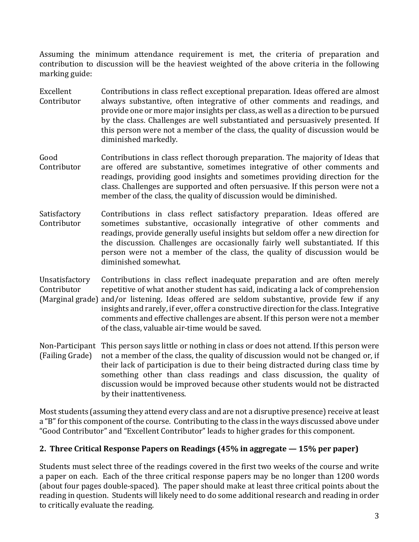Assuming the minimum attendance requirement is met, the criteria of preparation and contribution to discussion will be the heaviest weighted of the above criteria in the following marking guide:

- Excellent Contributor Contributions in class reflect exceptional preparation. Ideas offered are almost always substantive, often integrative of other comments and readings, and provide one or more major insights per class, as well as a direction to be pursued by the class. Challenges are well substantiated and persuasively presented. If this person were not a member of the class, the quality of discussion would be diminished markedly.
- Good **Contributor** Contributions in class reflect thorough preparation. The majority of Ideas that are offered are substantive, sometimes integrative of other comments and readings, providing good insights and sometimes providing direction for the class. Challenges are supported and often persuasive. If this person were not a member of the class, the quality of discussion would be diminished.
- Satisfactory Contributor Contributions in class reflect satisfactory preparation. Ideas offered are sometimes substantive, occasionally integrative of other comments and readings, provide generally useful insights but seldom offer a new direction for the discussion. Challenges are occasionally fairly well substantiated. If this person were not a member of the class, the quality of discussion would be diminished somewhat.
- Unsatisfactory Contributor (Marginal grade) and/or listening. Ideas offered are seldom substantive, provide few if any Contributions in class reflect inadequate preparation and are often merely repetitive of what another student has said, indicating a lack of comprehension insights and rarely, if ever, offer a constructive direction for the class. Integrative comments and effective challenges are absent. If this person were not a member of the class, valuable air-time would be saved.
- Non-Participant This person says little or nothing in class or does not attend. If this person were (Failing Grade) not a member of the class, the quality of discussion would not be changed or, if their lack of participation is due to their being distracted during class time by something other than class readings and class discussion, the quality of discussion would be improved because other students would not be distracted by their inattentiveness.

Most students (assuming they attend every class and are not a disruptive presence) receive at least a "B" for this component of the course. Contributing to the class in the ways discussed above under "Good Contributor" and "Excellent Contributor" leads to higher grades for this component.

## **2. Three Critical Response Papers on Readings (45% in aggregate — 15% per paper)**

Students must select three of the readings covered in the first two weeks of the course and write a paper on each. Each of the three critical response papers may be no longer than 1200 words (about four pages double-spaced). The paper should make at least three critical points about the reading in question. Students will likely need to do some additional research and reading in order to critically evaluate the reading.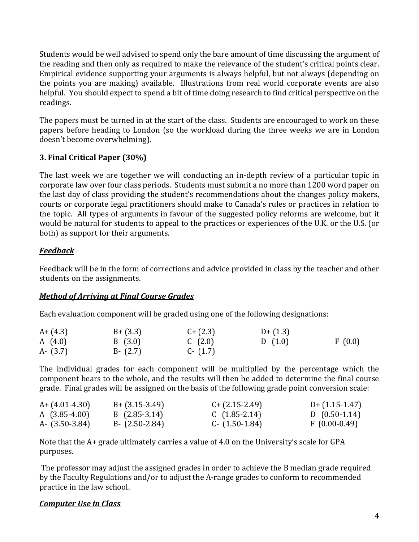Students would be well advised to spend only the bare amount of time discussing the argument of the reading and then only as required to make the relevance of the student's critical points clear. Empirical evidence supporting your arguments is always helpful, but not always (depending on the points you are making) available. Illustrations from real world corporate events are also helpful. You should expect to spend a bit of time doing research to find critical perspective on the readings.

The papers must be turned in at the start of the class. Students are encouraged to work on these papers before heading to London (so the workload during the three weeks we are in London doesn't become overwhelming).

## **3. Final Critical Paper (30%)**

The last week we are together we will conducting an in-depth review of a particular topic in corporate law over four class periods. Students must submit a no more than 1200 word paper on the last day of class providing the student's recommendations about the changes policy makers, courts or corporate legal practitioners should make to Canada's rules or practices in relation to the topic. All types of arguments in favour of the suggested policy reforms are welcome, but it would be natural for students to appeal to the practices or experiences of the U.K. or the U.S. (or both) as support for their arguments.

# *Feedback*

Feedback will be in the form of corrections and advice provided in class by the teacher and other students on the assignments.

## *Method of Arriving at Final Course Grades*

Each evaluation component will be graded using one of the following designations:

| $A + (4.3)$ | $B + (3.3)$ | $C + (2.3)$ | $D+(1.3)$ |        |
|-------------|-------------|-------------|-----------|--------|
| A $(4.0)$   | B(3.0)      | C $(2.0)$   | D(1.0)    | F(0.0) |
| $A - (3.7)$ | $B - (2.7)$ | $C - (1.7)$ |           |        |

The individual grades for each component will be multiplied by the percentage which the component bears to the whole, and the results will then be added to determine the final course grade. Final grades will be assigned on the basis of the following grade point conversion scale:

| $A + (4.01 - 4.30)$ | $B + (3.15 - 3.49)$ | $C + (2.15 - 2.49)$ | $D+$ (1.15-1.47) |
|---------------------|---------------------|---------------------|------------------|
| A $(3.85-4.00)$     | $B(2.85-3.14)$      | $C(1.85-2.14)$      | D $(0.50-1.14)$  |
| A- $(3.50-3.84)$    | $B - (2.50 - 2.84)$ | $C - (1.50 - 1.84)$ | $F(0.00-0.49)$   |

Note that the A+ grade ultimately carries a value of 4.0 on the University's scale for GPA purposes.

The professor may adjust the assigned grades in order to achieve the B median grade required by the Faculty Regulations and/or to adjust the A-range grades to conform to recommended practice in the law school.

## *Computer Use in Class*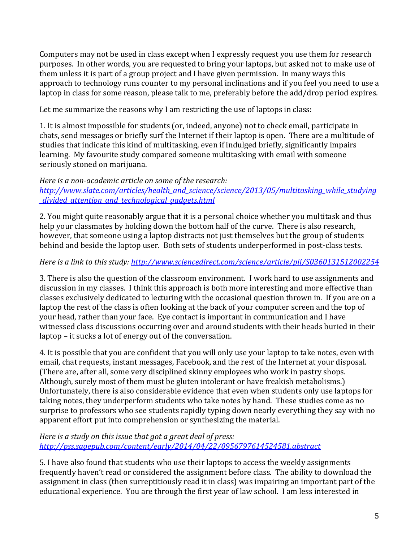Computers may not be used in class except when I expressly request you use them for research purposes. In other words, you are requested to bring your laptops, but asked not to make use of them unless it is part of a group project and I have given permission. In many ways this approach to technology runs counter to my personal inclinations and if you feel you need to use a laptop in class for some reason, please talk to me, preferably before the add/drop period expires.

Let me summarize the reasons why I am restricting the use of laptops in class:

1. It is almost impossible for students (or, indeed, anyone) not to check email, participate in chats, send messages or briefly surf the Internet if their laptop is open. There are a multitude of studies that indicate this kind of multitasking, even if indulged briefly, significantly impairs learning. My favourite study compared someone multitasking with email with someone seriously stoned on marijuana.

#### *Here is a non-academic article on some of the research: [http://www.slate.com/articles/health\\_and\\_science/science/2013/05/multitasking\\_while\\_studying](http://www.slate.com/articles/health_and_science/science/2013/05/multitasking_while_studying_divided_attention_and_technological_gadgets.html) [\\_divided\\_attention\\_and\\_technological\\_gadgets.html](http://www.slate.com/articles/health_and_science/science/2013/05/multitasking_while_studying_divided_attention_and_technological_gadgets.html)*

2. You might quite reasonably argue that it is a personal choice whether you multitask and thus help your classmates by holding down the bottom half of the curve. There is also research, however, that someone using a laptop distracts not just themselves but the group of students behind and beside the laptop user. Both sets of students underperformed in post-class tests.

## *Here is a link to this study:<http://www.sciencedirect.com/science/article/pii/S0360131512002254>*

3. There is also the question of the classroom environment. I work hard to use assignments and discussion in my classes. I think this approach is both more interesting and more effective than classes exclusively dedicated to lecturing with the occasional question thrown in. If you are on a laptop the rest of the class is often looking at the back of your computer screen and the top of your head, rather than your face. Eye contact is important in communication and I have witnessed class discussions occurring over and around students with their heads buried in their laptop – it sucks a lot of energy out of the conversation.

4. It is possible that you are confident that you will only use your laptop to take notes, even with email, chat requests, instant messages, Facebook, and the rest of the Internet at your disposal. (There are, after all, some very disciplined skinny employees who work in pastry shops. Although, surely most of them must be gluten intolerant or have freakish metabolisms.) Unfortunately, there is also considerable evidence that even when students only use laptops for taking notes, they underperform students who take notes by hand. These studies come as no surprise to professors who see students rapidly typing down nearly everything they say with no apparent effort put into comprehension or synthesizing the material.

### *Here is a study on this issue that got a great deal of press: <http://pss.sagepub.com/content/early/2014/04/22/0956797614524581.abstract>*

5. I have also found that students who use their laptops to access the weekly assignments frequently haven't read or considered the assignment before class. The ability to download the assignment in class (then surreptitiously read it in class) was impairing an important part of the educational experience. You are through the first year of law school. I am less interested in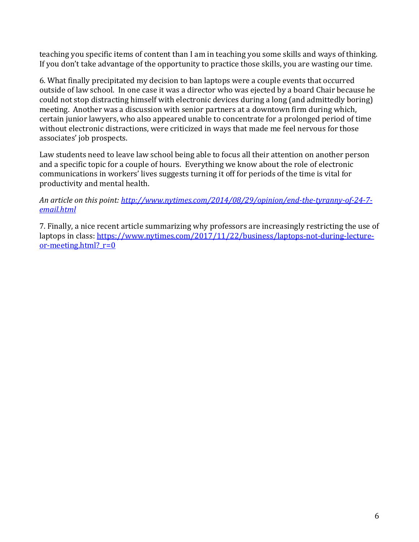teaching you specific items of content than I am in teaching you some skills and ways of thinking. If you don't take advantage of the opportunity to practice those skills, you are wasting our time.

6. What finally precipitated my decision to ban laptops were a couple events that occurred outside of law school. In one case it was a director who was ejected by a board Chair because he could not stop distracting himself with electronic devices during a long (and admittedly boring) meeting. Another was a discussion with senior partners at a downtown firm during which, certain junior lawyers, who also appeared unable to concentrate for a prolonged period of time without electronic distractions, were criticized in ways that made me feel nervous for those associates' job prospects.

Law students need to leave law school being able to focus all their attention on another person and a specific topic for a couple of hours. Everything we know about the role of electronic communications in workers' lives suggests turning it off for periods of the time is vital for productivity and mental health.

*An article on this point: [http://www.nytimes.com/2014/08/29/opinion/end-the-tyranny-of-24-7](http://www.nytimes.com/2014/08/29/opinion/end-the-tyranny-of-24-7-email.html) [email.html](http://www.nytimes.com/2014/08/29/opinion/end-the-tyranny-of-24-7-email.html)*

7. Finally, a nice recent article summarizing why professors are increasingly restricting the use of laptops in class: [https://www.nytimes.com/2017/11/22/business/laptops-not-during-lecture](https://www.nytimes.com/2017/11/22/business/laptops-not-during-lecture-or-meeting.html?_r=0)or-meeting.html?  $r=0$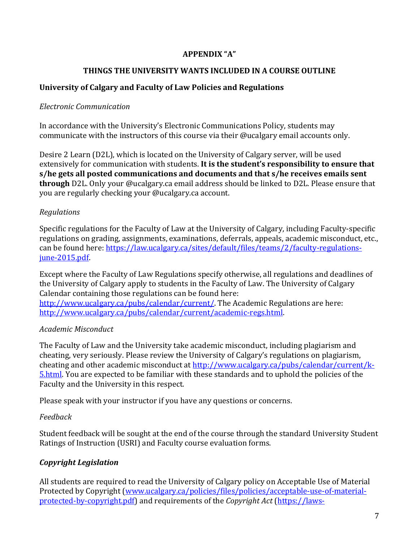## **APPENDIX "A"**

## **THINGS THE UNIVERSITY WANTS INCLUDED IN A COURSE OUTLINE**

# **University of Calgary and Faculty of Law Policies and Regulations**

## *Electronic Communication*

In accordance with the University's Electronic Communications Policy, students may communicate with the instructors of this course via their @ucalgary email accounts only.

Desire 2 Learn (D2L), which is located on the University of Calgary server, will be used extensively for communication with students. **It is the student's responsibility to ensure that s/he gets all posted communications and documents and that s/he receives emails sent through** D2L. Only your @ucalgary.ca email address should be linked to D2L. Please ensure that you are regularly checking your @ucalgary.ca account.

# *Regulations*

Specific regulations for the Faculty of Law at the University of Calgary, including Faculty-specific regulations on grading, assignments, examinations, deferrals, appeals, academic misconduct, etc., can be found here: [https://law.ucalgary.ca/sites/default/files/teams/2/faculty-regulations](https://law.ucalgary.ca/sites/default/files/teams/2/faculty-regulations-june-2015.pdf)[june-2015.pdf.](https://law.ucalgary.ca/sites/default/files/teams/2/faculty-regulations-june-2015.pdf)

Except where the Faculty of Law Regulations specify otherwise, all regulations and deadlines of the University of Calgary apply to students in the Faculty of Law. The University of Calgary Calendar containing those regulations can be found here: [http://www.ucalgary.ca/pubs/calendar/current/.](http://www.ucalgary.ca/pubs/calendar/current/) The Academic Regulations are here: [http://www.ucalgary.ca/pubs/calendar/current/academic-regs.html.](http://www.ucalgary.ca/pubs/calendar/current/academic-regs.html) 

## *Academic Misconduct*

The Faculty of Law and the University take academic misconduct, including plagiarism and cheating, very seriously. Please review the University of Calgary's regulations on plagiarism, cheating and other academic misconduct a[t http://www.ucalgary.ca/pubs/calendar/current/k-](http://www.ucalgary.ca/pubs/calendar/current/k-5.html)[5.html.](http://www.ucalgary.ca/pubs/calendar/current/k-5.html) You are expected to be familiar with these standards and to uphold the policies of the Faculty and the University in this respect.

Please speak with your instructor if you have any questions or concerns.

# *Feedback*

Student feedback will be sought at the end of the course through the standard University Student Ratings of Instruction (USRI) and Faculty course evaluation forms.

# *Copyright Legislation*

All students are required to read the University of Calgary policy on Acceptable Use of Material Protected by Copyright [\(www.ucalgary.ca/policies/files/policies/acceptable-use-of-material](http://www.ucalgary.ca/policies/files/policies/acceptable-use-of-material-protected-by-copyright.pdf)[protected-by-copyright.pdf\)](http://www.ucalgary.ca/policies/files/policies/acceptable-use-of-material-protected-by-copyright.pdf) and requirements of the *Copyright Act* [\(https://laws-](https://laws-lois.justice.gc.ca/eng/acts/C-42/index.html)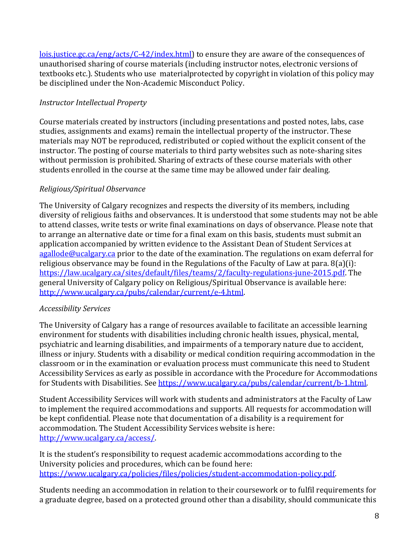[lois.justice.gc.ca/eng/acts/C-42/index.html\)](https://laws-lois.justice.gc.ca/eng/acts/C-42/index.html) to ensure they are aware of the consequences of unauthorised sharing of course materials (including instructor notes, electronic versions of textbooks etc.). Students who use materialprotected by copyright in violation of this policy may be disciplined under the Non-Academic Misconduct Policy.

## *Instructor Intellectual Property*

Course materials created by instructors (including presentations and posted notes, labs, case studies, assignments and exams) remain the intellectual property of the instructor. These materials may NOT be reproduced, redistributed or copied without the explicit consent of the instructor. The posting of course materials to third party websites such as note-sharing sites without permission is prohibited. Sharing of extracts of these course materials with other students enrolled in the course at the same time may be allowed under fair dealing.

## *Religious/Spiritual Observance*

The University of Calgary recognizes and respects the diversity of its members, including diversity of religious faiths and observances. It is understood that some students may not be able to attend classes, write tests or write final examinations on days of observance. Please note that to arrange an alternative date or time for a final exam on this basis, students must submit an application accompanied by written evidence to the Assistant Dean of Student Services at [agallode@ucalgary.ca](mailto:agallode@ucalgary.ca) prior to the date of the examination. The regulations on exam deferral for religious observance may be found in the Regulations of the Faculty of Law at para. 8(a)(i): [https://law.ucalgary.ca/sites/default/files/teams/2/faculty-regulations-june-2015.pdf.](https://law.ucalgary.ca/sites/default/files/teams/2/faculty-regulations-june-2015.pdf) The general University of Calgary policy on Religious/Spiritual Observance is available here: [http://www.ucalgary.ca/pubs/calendar/current/e-4.html.](http://www.ucalgary.ca/pubs/calendar/current/e-4.html)

## *Accessibility Services*

The University of Calgary has a range of resources available to facilitate an accessible learning environment for students with disabilities including chronic health issues, physical, mental, psychiatric and learning disabilities, and impairments of a temporary nature due to accident, illness or injury. Students with a disability or medical condition requiring accommodation in the classroom or in the examination or evaluation process must communicate this need to Student Accessibility Services as early as possible in accordance with the Procedure for Accommodations for Students with Disabilities. See [https://www.ucalgary.ca/pubs/calendar/current/b-1.html.](https://www.ucalgary.ca/pubs/calendar/current/b-1.html)

Student Accessibility Services will work with students and administrators at the Faculty of Law to implement the required accommodations and supports. All requests for accommodation will be kept confidential. Please note that documentation of a disability is a requirement for accommodation. The Student Accessibility Services website is here: [http://www.ucalgary.ca/access/.](http://www.ucalgary.ca/access/)

It is the student's responsibility to request academic accommodations according to the University policies and procedures, which can be found here: [https://www.ucalgary.ca/policies/files/policies/student-accommodation-policy.pdf.](https://www.ucalgary.ca/policies/files/policies/student-accommodation-policy.pdf)

Students needing an accommodation in relation to their coursework or to fulfil requirements for a graduate degree, based on a protected ground other than a disability, should communicate this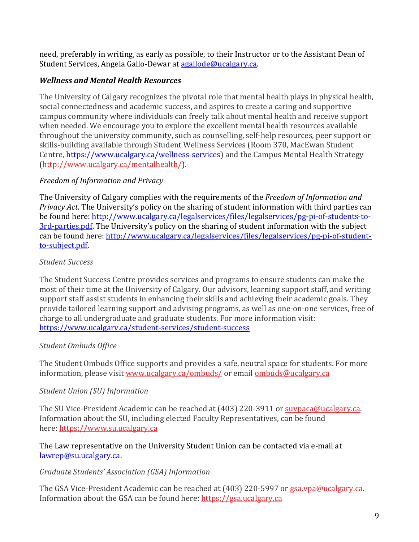need, preferably in writing, as early as possible, to their Instructor or to the Assistant Dean of Student Services, Angela Gallo-Dewar a[t agallode@ucalgary.ca.](mailto:agallode@ucalgary.ca)

# *Wellness and Mental Health Resources*

The University of Calgary recognizes the pivotal role that mental health plays in physical health, social connectedness and academic success, and aspires to create a caring and supportive campus community where individuals can freely talk about mental health and receive support when needed. We encourage you to explore the excellent mental health resources available throughout the university community, such as counselling, self-help resources, peer support or skills-building available through Student Wellness Services (Room 370, MacEwan Student Centre, [https://www.ucalgary.ca/wellness-services\)](https://www.ucalgary.ca/wellness-services) and the Campus Mental Health Strategy [\(http://www.ucalgary.ca/mentalhealth/\)](http://www.ucalgary.ca/mentalhealth/).

## *Freedom of Information and Privacy*

The University of Calgary complies with the requirements of the *Freedom of Information and Privacy Act*. The University's policy on the sharing of student information with third parties can be found here: [http://www.ucalgary.ca/legalservices/files/legalservices/pg-pi-of-students-to-](http://www.ucalgary.ca/legalservices/files/legalservices/pg-pi-of-students-to-3rd-parties.pdf)[3rd-parties.pdf.](http://www.ucalgary.ca/legalservices/files/legalservices/pg-pi-of-students-to-3rd-parties.pdf) The University's policy on the sharing of student information with the subject can be found here: [http://www.ucalgary.ca/legalservices/files/legalservices/pg-pi-of-student](http://www.ucalgary.ca/legalservices/files/legalservices/pg-pi-of-student-to-subject.pdf)[to-subject.pdf.](http://www.ucalgary.ca/legalservices/files/legalservices/pg-pi-of-student-to-subject.pdf)

## *Student Success*

The Student Success Centre provides services and programs to ensure students can make the most of their time at the University of Calgary. Our advisors, learning support staff, and writing support staff assist students in enhancing their skills and achieving their academic goals. They provide tailored learning support and advising programs, as well as one-on-one services, free of charge to all undergraduate and graduate students. For more information visit: <https://www.ucalgary.ca/student-services/student-success>

## *Student Ombuds Office*

The Student Ombuds Office supports and provides a safe, neutral space for students. For more information, please visit [www.ucalgary.ca/ombuds/](http://www.ucalgary.ca/ombuds/) or email [ombuds@ucalgary.ca](mailto:ombuds@ucalgary.ca)

## *Student Union (SU) Information*

The SU Vice-President Academic can be reached at (403) 220-3911 or [suvpaca@ucalgary.ca.](mailto:suvpaca@ucalgary.ca) Information about the SU, including elected Faculty Representatives, can be found here: [https://www.su.ucalgary.ca](https://www.su.ucalgary.ca/)

The Law representative on the University Student Union can be contacted via e-mail at [lawrep@su.ucalgary.ca.](mailto:lawrep@su.ucalgary.ca)

## *Graduate Students' Association (GSA) Information*

The GSA Vice-President Academic can be reached at (403) 220-5997 or [gsa.vpa@ucalgary.ca.](mailto:gsa.vpa@ucalgary.ca) Information about the GSA can be found here: [https://gsa.ucalgary.ca](https://gsa.ucalgary.ca/)